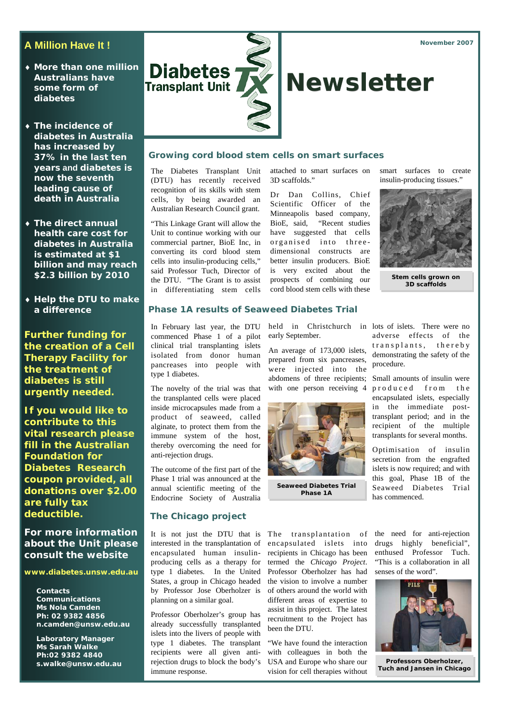# **A Million Have It !**

- ♦ **More than one million Australians have some form of diabetes**
- ♦ **The incidence of diabetes in Australia has increased by 37% in the last ten years and diabetes is now the seventh leading cause of death in Australia**
- ♦ **The direct annual health care cost for diabetes in Australia is estimated at \$1 billion and may reach \$2.3 billion by 2010**
- ♦ **Help the DTU to make a difference**

**Further funding for the creation of a Cell Therapy Facility for the treatment of diabetes is still urgently needed.** 

**If you would like to contribute to this vital research please fill in the Australian Foundation for Diabetes Research coupon provided, all donations over \$2.00 are fully tax deductible.** 

**For more information about the Unit please consult the website** 

## **www.diabetes.unsw.edu.au**

**Contacts Communications Ms Nola Camden Ph: 02 9382 4856 n.camden@unsw.edu.au** 

**Laboratory Manager Ms Sarah Walke Ph:02 9382 4840 s.walke@unsw.edu.au** 



## **Growing cord blood stem cells on smart surfaces**

The Diabetes Transplant Unit (DTU) has recently received recognition of its skills with stem cells, by being awarded an Australian Research Council grant.

"This Linkage Grant will allow the Unit to continue working with our commercial partner, BioE Inc, in converting its cord blood stem cells into insulin-producing cells," said Professor Tuch, Director of the DTU. "The Grant is to assist in differentiating stem cells

attached to smart surfaces on 3D scaffolds."

Dr Dan Collins, Chief Scientific Officer of the Minneapolis based company, BioE, said, "Recent studies have suggested that cells organised into threedimensional constructs are better insulin producers. BioE is very excited about the prospects of combining our cord blood stem cells with these smart surfaces to create insulin-producing tissues."



**Stem cells grown on 3D scaffolds** 

## **Phase 1A results of Seaweed Diabetes Trial**

In February last year, the DTU held in Christchurch in lots of islets. There were no commenced Phase 1 of a pilot clinical trial transplanting islets isolated from donor human pancreases into people with type 1 diabetes.

The novelty of the trial was that the transplanted cells were placed inside microcapsules made from a product of seaweed, called alginate, to protect them from the immune system of the host, thereby overcoming the need for anti-rejection drugs.

The outcome of the first part of the Phase 1 trial was announced at the annual scientific meeting of the Endocrine Society of Australia

### **The Chicago project**

interested in the transplantation of encapsulated human insulinproducing cells as a therapy for type 1 diabetes. In the United States, a group in Chicago headed by Professor Jose Oberholzer is planning on a similar goal.

Professor Oberholzer's group has already successfully transplanted islets into the livers of people with type 1 diabetes. The transplant recipients were all given antirejection drugs to block the body's immune response.

early September.

An average of 173,000 islets, prepared from six pancreases, were injected into the abdomens of three recipients; Small amounts of insulin were with one person receiving 4



**Seaweed Diabetes Trial Phase 1A** 

encapsulated islets into recipients in Chicago has been termed the *Chicago Project*. Professor Oberholzer has had the vision to involve a number of others around the world with different areas of expertise to assist in this project. The latest recruitment to the Project has been the DTU.

"We have found the interaction with colleagues in both the USA and Europe who share our vision for cell therapies without

adverse effects of the transplants, thereby demonstrating the safety of the procedure.

produced from the encapsulated islets, especially in the immediate posttransplant period; and in the recipient of the multiple transplants for several months.

Optimisation of insulin secretion from the engrafted islets is now required; and with this goal, Phase 1B of the Seaweed Diabetes Trial has commenced.

It is not just the DTU that is The transplantation of the need for anti-rejection drugs highly beneficial", enthused Professor Tuch. "This is a collaboration in all senses of the word".



**Professors Oberholzer, Tuch and Jansen in Chicago**